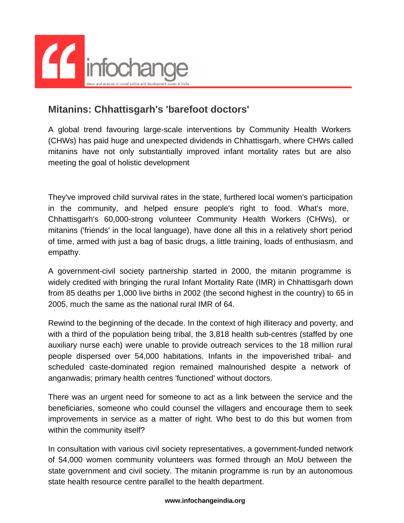

## **Mitanins: Chhattisgarh's 'barefoot doctors'**

A global trend favouring large-scale interventions by Community Health Workers (CHWs) has paid huge and unexpected dividends in Chhattisgarh, where CHWs called mitanins have not only substantially improved infant mortality rates but are also meeting the goal of holistic development

They've improved child survival rates in the state, furthered local women's participation in the community, and helped ensure people's right to food. What's more, Chhattisgarh's 60,000-strong volunteer Community Health Workers (CHWs), or mitanins ('friends' in the local language), have done all this in a relatively short period of time, armed with just a bag of basic drugs, a little training, loads of enthusiasm, and empathy.

A government-civil society partnership started in 2000, the mitanin programme is widely credited with bringing the rural Infant Mortality Rate (IMR) in Chhattisgarh down from 85 deaths per 1,000 live births in 2002 (the second highest in the country) to 65 in 2005, much the same as the national rural IMR of 64.

Rewind to the beginning of the decade. In the context of high illiteracy and poverty, and with a third of the population being tribal, the 3,818 health sub-centres (staffed by one auxiliary nurse each) were unable to provide outreach services to the 18 million rural people dispersed over 54,000 habitations. Infants in the impoverished tribal- and scheduled caste-dominated region remained malnourished despite a network of anganwadis; primary health centres 'functioned' without doctors.

There was an urgent need for someone to act as a link between the service and the beneficiaries, someone who could counsel the villagers and encourage them to seek improvements in service as a matter of right. Who best to do this but women from within the community itself?

In consultation with various civil society representatives, a government-funded network of 54,000 women community volunteers was formed through an MoU between the state government and civil society. The mitanin programme is run by an autonomous state health resource centre parallel to the health department.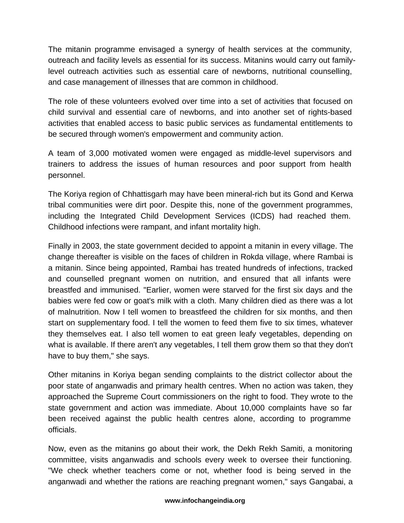The mitanin programme envisaged a synergy of health services at the community, outreach and facility levels as essential for its success. Mitanins would carry out familylevel outreach activities such as essential care of newborns, nutritional counselling, and case management of illnesses that are common in childhood.

The role of these volunteers evolved over time into a set of activities that focused on child survival and essential care of newborns, and into another set of rights-based activities that enabled access to basic public services as fundamental entitlements to be secured through women's empowerment and community action.

A team of 3,000 motivated women were engaged as middle-level supervisors and trainers to address the issues of human resources and poor support from health personnel.

The Koriya region of Chhattisgarh may have been mineral-rich but its Gond and Kerwa tribal communities were dirt poor. Despite this, none of the government programmes, including the Integrated Child Development Services (ICDS) had reached them. Childhood infections were rampant, and infant mortality high.

Finally in 2003, the state government decided to appoint a mitanin in every village. The change thereafter is visible on the faces of children in Rokda village, where Rambai is a mitanin. Since being appointed, Rambai has treated hundreds of infections, tracked and counselled pregnant women on nutrition, and ensured that all infants were breastfed and immunised. "Earlier, women were starved for the first six days and the babies were fed cow or goat's milk with a cloth. Many children died as there was a lot of malnutrition. Now I tell women to breastfeed the children for six months, and then start on supplementary food. I tell the women to feed them five to six times, whatever they themselves eat. I also tell women to eat green leafy vegetables, depending on what is available. If there aren't any vegetables, I tell them grow them so that they don't have to buy them," she says.

Other mitanins in Koriya began sending complaints to the district collector about the poor state of anganwadis and primary health centres. When no action was taken, they approached the Supreme Court commissioners on the right to food. They wrote to the state government and action was immediate. About 10,000 complaints have so far been received against the public health centres alone, according to programme officials.

Now, even as the mitanins go about their work, the Dekh Rekh Samiti, a monitoring committee, visits anganwadis and schools every week to oversee their functioning. "We check whether teachers come or not, whether food is being served in the anganwadi and whether the rations are reaching pregnant women," says Gangabai, a